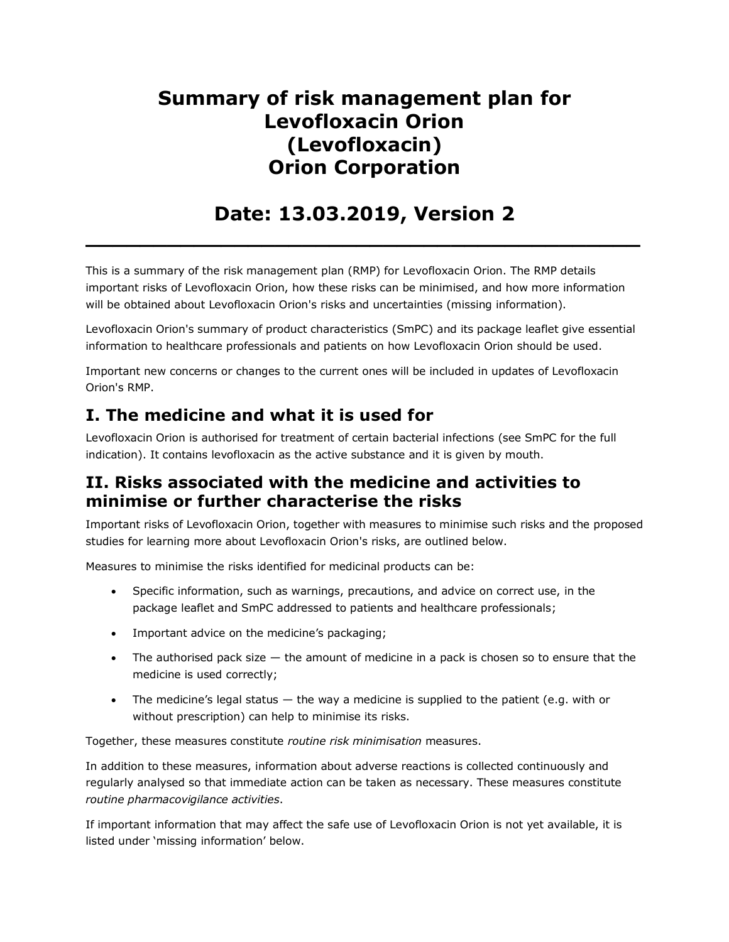# **Summary of risk management plan for Levofloxacin Orion (Levofloxacin) Orion Corporation**

# **Date: 13.03.2019, Version 2**

**\_\_\_\_\_\_\_\_\_\_\_\_\_\_\_\_\_\_\_\_\_\_\_\_\_\_\_\_\_\_\_\_\_\_\_\_\_\_\_\_\_**

This is a summary of the risk management plan (RMP) for Levofloxacin Orion. The RMP details important risks of Levofloxacin Orion, how these risks can be minimised, and how more information will be obtained about Levofloxacin Orion's risks and uncertainties (missing information).

Levofloxacin Orion's summary of product characteristics (SmPC) and its package leaflet give essential information to healthcare professionals and patients on how Levofloxacin Orion should be used.

Important new concerns or changes to the current ones will be included in updates of Levofloxacin Orion's RMP.

### **I. The medicine and what it is used for**

Levofloxacin Orion is authorised for treatment of certain bacterial infections (see SmPC for the full indication). It contains levofloxacin as the active substance and it is given by mouth.

### **II. Risks associated with the medicine and activities to minimise or further characterise the risks**

Important risks of Levofloxacin Orion, together with measures to minimise such risks and the proposed studies for learning more about Levofloxacin Orion's risks, are outlined below.

Measures to minimise the risks identified for medicinal products can be:

- Specific information, such as warnings, precautions, and advice on correct use, in the package leaflet and SmPC addressed to patients and healthcare professionals;
- Important advice on the medicine's packaging;
- The authorised pack size the amount of medicine in a pack is chosen so to ensure that the medicine is used correctly;
- The medicine's legal status the way a medicine is supplied to the patient (e.g. with or without prescription) can help to minimise its risks.

Together, these measures constitute *routine risk minimisation* measures.

In addition to these measures, information about adverse reactions is collected continuously and regularly analysed so that immediate action can be taken as necessary. These measures constitute *routine pharmacovigilance activities*.

If important information that may affect the safe use of Levofloxacin Orion is not yet available, it is listed under 'missing information' below.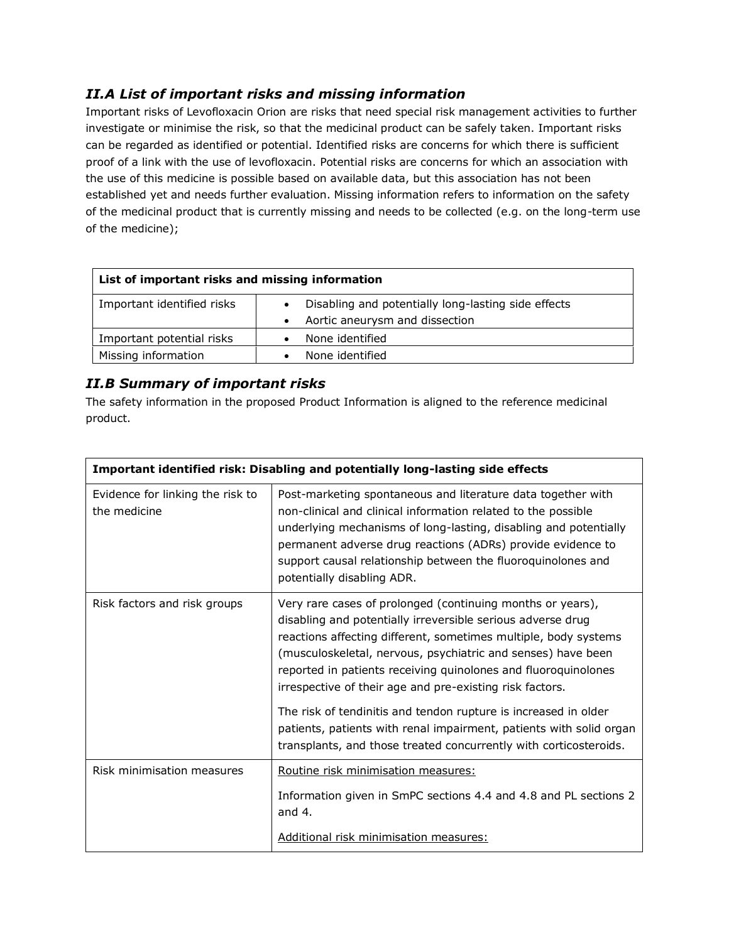#### *II.A List of important risks and missing information*

Important risks of Levofloxacin Orion are risks that need special risk management activities to further investigate or minimise the risk, so that the medicinal product can be safely taken. Important risks can be regarded as identified or potential. Identified risks are concerns for which there is sufficient proof of a link with the use of levofloxacin. Potential risks are concerns for which an association with the use of this medicine is possible based on available data, but this association has not been established yet and needs further evaluation. Missing information refers to information on the safety of the medicinal product that is currently missing and needs to be collected (e.g. on the long-term use of the medicine);

| List of important risks and missing information |                                                     |  |
|-------------------------------------------------|-----------------------------------------------------|--|
| Important identified risks                      | Disabling and potentially long-lasting side effects |  |
|                                                 | Aortic aneurysm and dissection                      |  |
| Important potential risks                       | None identified                                     |  |
| Missing information                             | None identified                                     |  |

#### *II.B Summary of important risks*

The safety information in the proposed Product Information is aligned to the reference medicinal product.

| Important identified risk: Disabling and potentially long-lasting side effects |                                                                                                                                                                                                                                                                                                                                                                                            |  |
|--------------------------------------------------------------------------------|--------------------------------------------------------------------------------------------------------------------------------------------------------------------------------------------------------------------------------------------------------------------------------------------------------------------------------------------------------------------------------------------|--|
| Evidence for linking the risk to<br>the medicine                               | Post-marketing spontaneous and literature data together with<br>non-clinical and clinical information related to the possible<br>underlying mechanisms of long-lasting, disabling and potentially<br>permanent adverse drug reactions (ADRs) provide evidence to<br>support causal relationship between the fluoroquinolones and<br>potentially disabling ADR.                             |  |
| Risk factors and risk groups                                                   | Very rare cases of prolonged (continuing months or years),<br>disabling and potentially irreversible serious adverse drug<br>reactions affecting different, sometimes multiple, body systems<br>(musculoskeletal, nervous, psychiatric and senses) have been<br>reported in patients receiving quinolones and fluoroquinolones<br>irrespective of their age and pre-existing risk factors. |  |
|                                                                                | The risk of tendinitis and tendon rupture is increased in older<br>patients, patients with renal impairment, patients with solid organ<br>transplants, and those treated concurrently with corticosteroids.                                                                                                                                                                                |  |
| Risk minimisation measures                                                     | Routine risk minimisation measures:                                                                                                                                                                                                                                                                                                                                                        |  |
|                                                                                | Information given in SmPC sections 4.4 and 4.8 and PL sections 2<br>and $4.$                                                                                                                                                                                                                                                                                                               |  |
|                                                                                | Additional risk minimisation measures:                                                                                                                                                                                                                                                                                                                                                     |  |